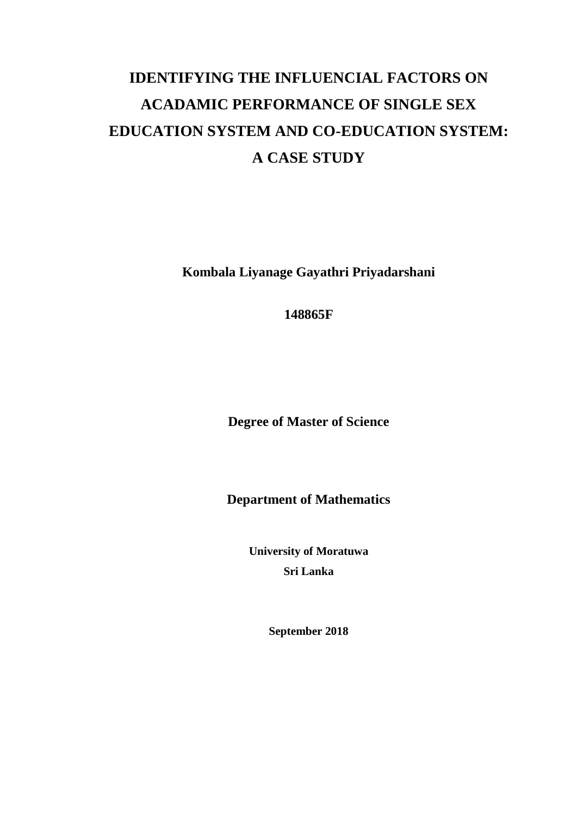# **IDENTIFYING THE INFLUENCIAL FACTORS ON ACADAMIC PERFORMANCE OF SINGLE SEX EDUCATION SYSTEM AND CO-EDUCATION SYSTEM: A CASE STUDY**

**Kombala Liyanage Gayathri Priyadarshani**

**148865F**

**Degree of Master of Science** 

**Department of Mathematics**

**University of Moratuwa Sri Lanka**

**September 2018**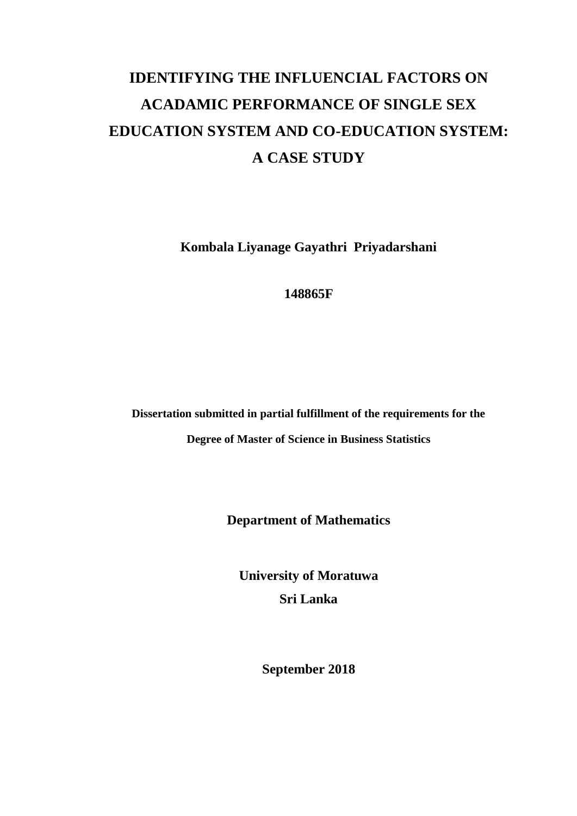# **IDENTIFYING THE INFLUENCIAL FACTORS ON ACADAMIC PERFORMANCE OF SINGLE SEX EDUCATION SYSTEM AND CO-EDUCATION SYSTEM: A CASE STUDY**

**Kombala Liyanage Gayathri Priyadarshani**

**148865F**

**Dissertation submitted in partial fulfillment of the requirements for the** 

**Degree of Master of Science in Business Statistics**

**Department of Mathematics**

**University of Moratuwa Sri Lanka**

**September 2018**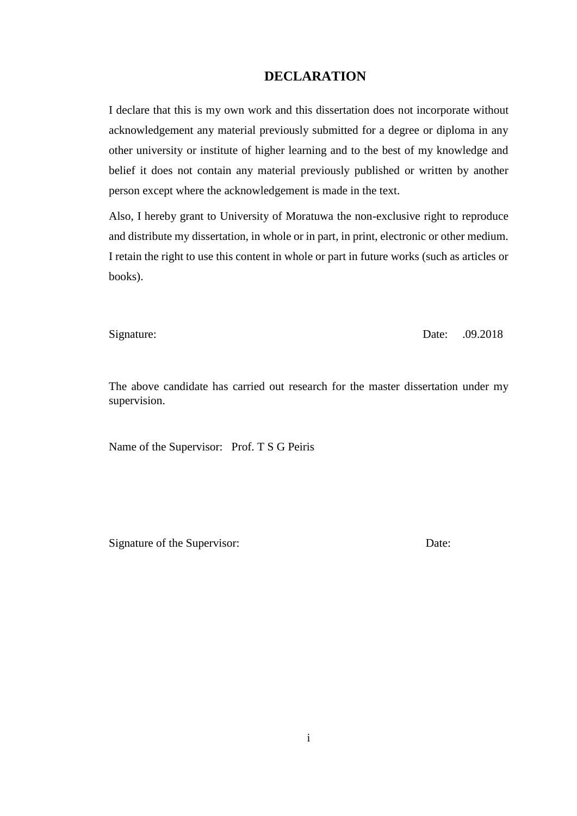#### **DECLARATION**

<span id="page-2-0"></span>I declare that this is my own work and this dissertation does not incorporate without acknowledgement any material previously submitted for a degree or diploma in any other university or institute of higher learning and to the best of my knowledge and belief it does not contain any material previously published or written by another person except where the acknowledgement is made in the text.

Also, I hereby grant to University of Moratuwa the non-exclusive right to reproduce and distribute my dissertation, in whole or in part, in print, electronic or other medium. I retain the right to use this content in whole or part in future works (such as articles or books).

Signature: Date: .09.2018

The above candidate has carried out research for the master dissertation under my supervision.

Name of the Supervisor: Prof. T S G Peiris

Signature of the Supervisor: Date: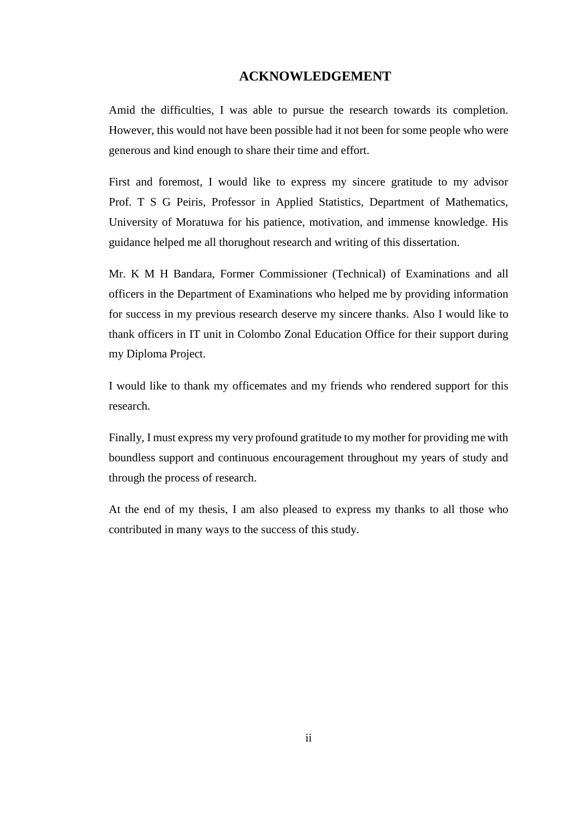#### **ACKNOWLEDGEMENT**

<span id="page-3-0"></span>Amid the difficulties, I was able to pursue the research towards its completion. However, this would not have been possible had it not been for some people who were generous and kind enough to share their time and effort.

First and foremost, I would like to express my sincere gratitude to my advisor Prof. T S G Peiris, Professor in Applied Statistics, Department of Mathematics, University of Moratuwa for his patience, motivation, and immense knowledge. His guidance helped me all thorughout research and writing of this dissertation.

Mr. K M H Bandara, Former Commissioner (Technical) of Examinations and all officers in the Department of Examinations who helped me by providing information for success in my previous research deserve my sincere thanks. Also I would like to thank officers in IT unit in Colombo Zonal Education Office for their support during my Diploma Project.

I would like to thank my officemates and my friends who rendered support for this research.

Finally, I must express my very profound gratitude to my mother for providing me with boundless support and continuous encouragement throughout my years of study and through the process of research.

At the end of my thesis, I am also pleased to express my thanks to all those who contributed in many ways to the success of this study.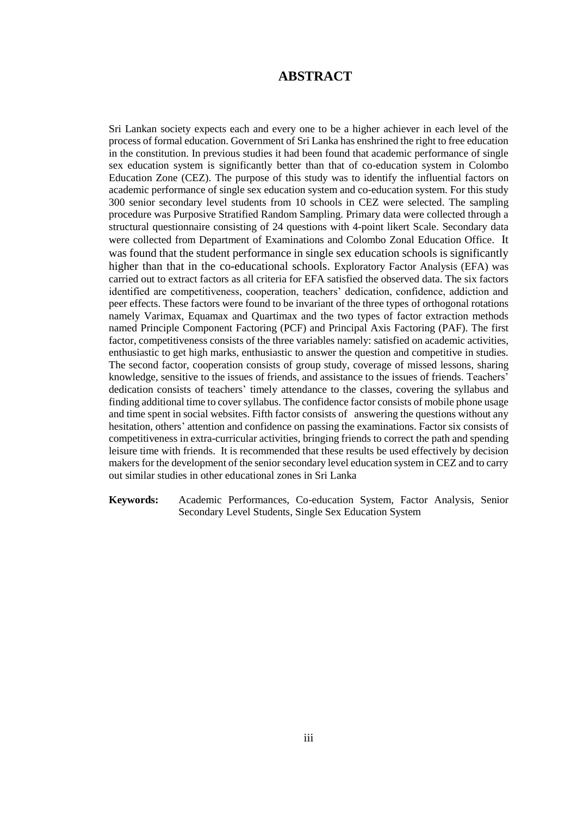#### **ABSTRACT**

<span id="page-4-0"></span>Sri Lankan society expects each and every one to be a higher achiever in each level of the process of formal education. Government of Sri Lanka has enshrined the right to free education in the constitution. In previous studies it had been found that academic performance of single sex education system is significantly better than that of co-education system in Colombo Education Zone (CEZ). The purpose of this study was to identify the influential factors on academic performance of single sex education system and co-education system. For this study 300 senior secondary level students from 10 schools in CEZ were selected. The sampling procedure was Purposive Stratified Random Sampling. Primary data were collected through a structural questionnaire consisting of 24 questions with 4-point likert Scale. Secondary data were collected from Department of Examinations and Colombo Zonal Education Office. It was found that the student performance in single sex education schools is significantly higher than that in the co-educational schools. Exploratory Factor Analysis (EFA) was carried out to extract factors as all criteria for EFA satisfied the observed data. The six factors identified are competitiveness, cooperation, teachers' dedication, confidence, addiction and peer effects. These factors were found to be invariant of the three types of orthogonal rotations namely Varimax, Equamax and Quartimax and the two types of factor extraction methods named Principle Component Factoring (PCF) and Principal Axis Factoring (PAF). The first factor, competitiveness consists of the three variables namely: satisfied on academic activities, enthusiastic to get high marks, enthusiastic to answer the question and competitive in studies. The second factor, cooperation consists of group study, coverage of missed lessons, sharing knowledge, sensitive to the issues of friends, and assistance to the issues of friends. Teachers' dedication consists of teachers' timely attendance to the classes, covering the syllabus and finding additional time to cover syllabus. The confidence factor consists of mobile phone usage and time spent in social websites. Fifth factor consists of answering the questions without any hesitation, others' attention and confidence on passing the examinations. Factor six consists of competitiveness in extra-curricular activities, bringing friends to correct the path and spending leisure time with friends. It is recommended that these results be used effectively by decision makers for the development of the senior secondary level education system in CEZ and to carry out similar studies in other educational zones in Sri Lanka

**Keywords:** Academic Performances, Co-education System, Factor Analysis, Senior Secondary Level Students, Single Sex Education System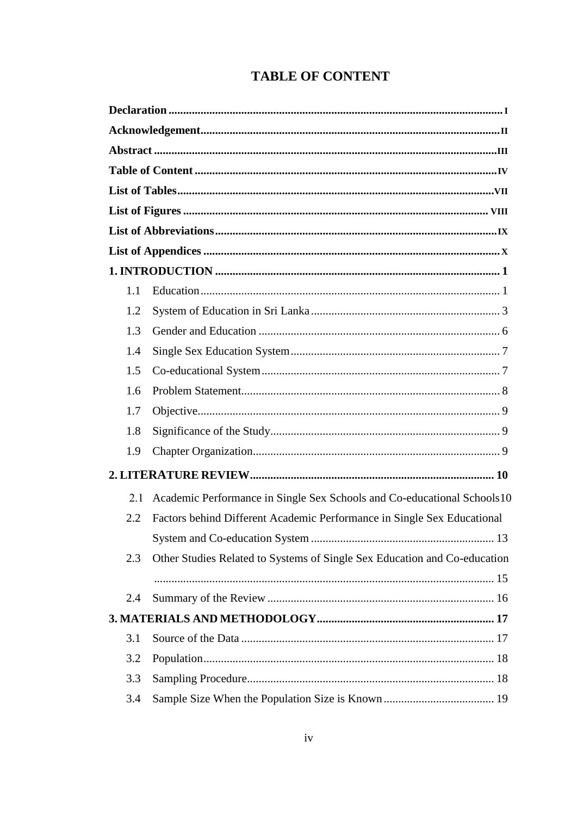## **TABLE OF CONTENT**

<span id="page-5-0"></span>

| 1.1                                                                              |  |
|----------------------------------------------------------------------------------|--|
| 1.2                                                                              |  |
| 1.3                                                                              |  |
| 1.4                                                                              |  |
| 1.5                                                                              |  |
| 1.6                                                                              |  |
| 1.7                                                                              |  |
| 1.8                                                                              |  |
| 1.9                                                                              |  |
|                                                                                  |  |
| Academic Performance in Single Sex Schools and Co-educational Schools 10<br>2.1  |  |
| 2.2<br>Factors behind Different Academic Performance in Single Sex Educational   |  |
|                                                                                  |  |
| Other Studies Related to Systems of Single Sex Education and Co-education<br>2.3 |  |
|                                                                                  |  |
| 2.4                                                                              |  |
|                                                                                  |  |
| 3.1                                                                              |  |
| 3.2                                                                              |  |
| 3.3                                                                              |  |
| 3.4                                                                              |  |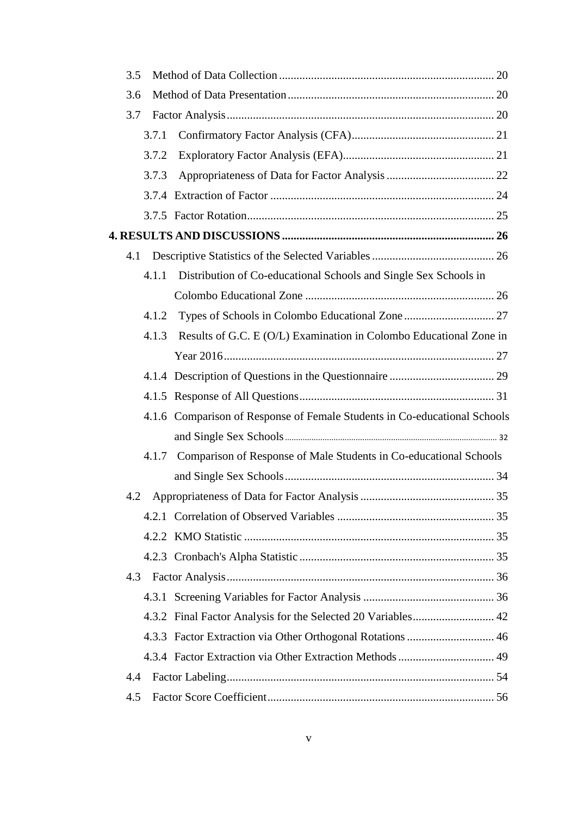| 3.5 |                                                                             |  |
|-----|-----------------------------------------------------------------------------|--|
| 3.6 |                                                                             |  |
| 3.7 |                                                                             |  |
|     | 3.7.1                                                                       |  |
|     | 3.7.2                                                                       |  |
|     | 3.7.3                                                                       |  |
|     |                                                                             |  |
|     |                                                                             |  |
|     |                                                                             |  |
| 4.1 |                                                                             |  |
|     | Distribution of Co-educational Schools and Single Sex Schools in<br>4.1.1   |  |
|     |                                                                             |  |
|     | 4.1.2                                                                       |  |
|     | Results of G.C. E (O/L) Examination in Colombo Educational Zone in<br>4.1.3 |  |
|     |                                                                             |  |
|     |                                                                             |  |
|     |                                                                             |  |
|     | 4.1.6 Comparison of Response of Female Students in Co-educational Schools   |  |
|     |                                                                             |  |
|     | 4.1.7 Comparison of Response of Male Students in Co-educational Schools     |  |
|     |                                                                             |  |
| 4.2 |                                                                             |  |
|     |                                                                             |  |
|     |                                                                             |  |
|     |                                                                             |  |
| 4.3 |                                                                             |  |
|     |                                                                             |  |
|     |                                                                             |  |
|     |                                                                             |  |
|     |                                                                             |  |
| 4.4 |                                                                             |  |
| 4.5 |                                                                             |  |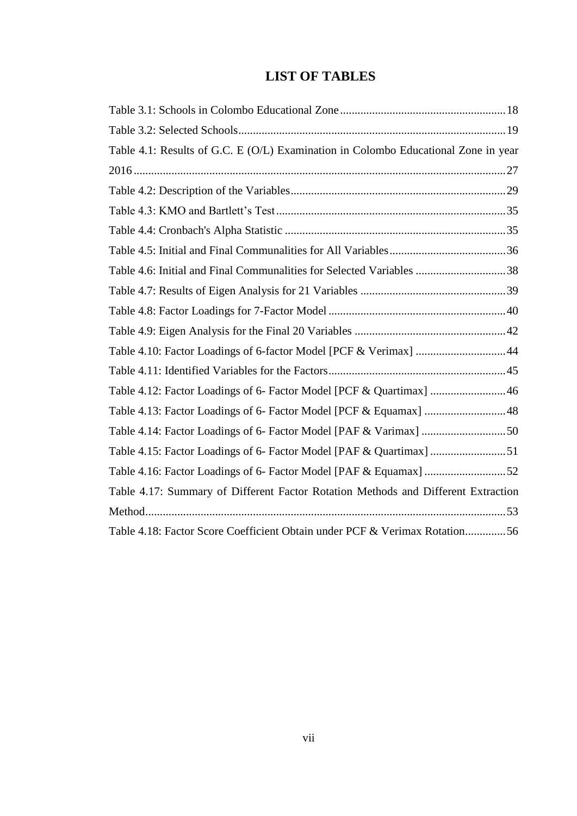## **LIST OF TABLES**

<span id="page-8-0"></span>

| Table 4.1: Results of G.C. E (O/L) Examination in Colombo Educational Zone in year |  |
|------------------------------------------------------------------------------------|--|
|                                                                                    |  |
|                                                                                    |  |
|                                                                                    |  |
|                                                                                    |  |
|                                                                                    |  |
| Table 4.6: Initial and Final Communalities for Selected Variables 38               |  |
|                                                                                    |  |
|                                                                                    |  |
|                                                                                    |  |
| Table 4.10: Factor Loadings of 6-factor Model [PCF & Verimax] 44                   |  |
|                                                                                    |  |
| Table 4.12: Factor Loadings of 6- Factor Model [PCF & Quartimax] 46                |  |
| Table 4.13: Factor Loadings of 6- Factor Model [PCF & Equamax] 48                  |  |
| Table 4.14: Factor Loadings of 6- Factor Model [PAF & Varimax] 50                  |  |
| Table 4.15: Factor Loadings of 6- Factor Model [PAF & Quartimax] 51                |  |
|                                                                                    |  |
| Table 4.17: Summary of Different Factor Rotation Methods and Different Extraction  |  |
|                                                                                    |  |
| Table 4.18: Factor Score Coefficient Obtain under PCF & Verimax Rotation56         |  |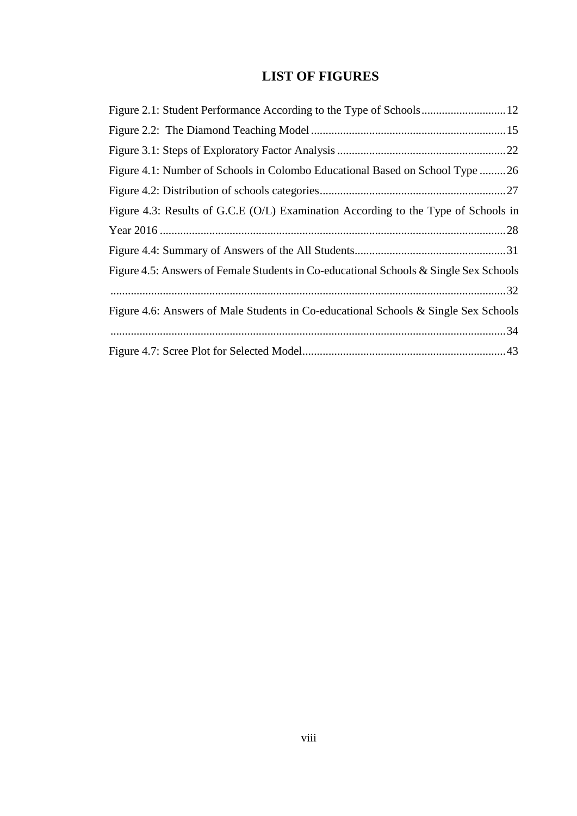## **LIST OF FIGURES**

<span id="page-9-0"></span>

| Figure 4.1: Number of Schools in Colombo Educational Based on School Type 26          |
|---------------------------------------------------------------------------------------|
|                                                                                       |
| Figure 4.3: Results of G.C.E (O/L) Examination According to the Type of Schools in    |
|                                                                                       |
|                                                                                       |
| Figure 4.5: Answers of Female Students in Co-educational Schools & Single Sex Schools |
|                                                                                       |
| Figure 4.6: Answers of Male Students in Co-educational Schools & Single Sex Schools   |
|                                                                                       |
|                                                                                       |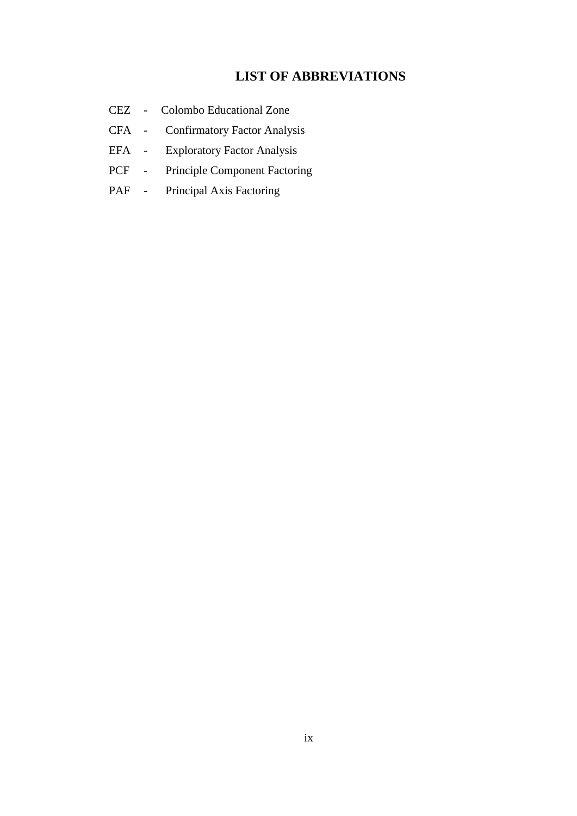### **LIST OF ABBREVIATIONS**

- <span id="page-10-0"></span>CEZ - Colombo Educational Zone
- CFA Confirmatory Factor Analysis
- EFA Exploratory Factor Analysis
- PCF Principle Component Factoring
- PAF Principal Axis Factoring